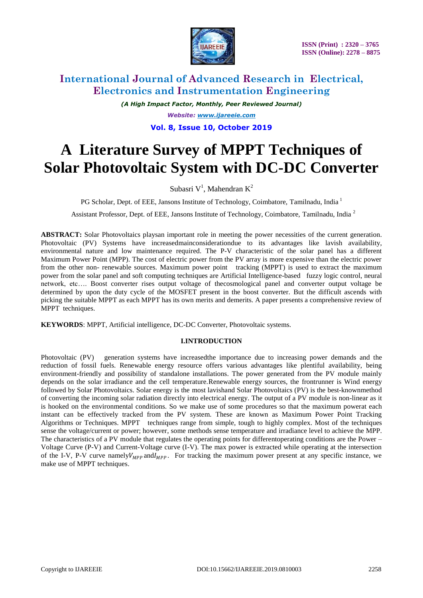

*(A High Impact Factor, Monthly, Peer Reviewed Journal) Website: [www.ijareeie.com](http://www.ijareeie.com/)* **Vol. 8, Issue 10, October 2019**

# **A Literature Survey of MPPT Techniques of Solar Photovoltaic System with DC-DC Converter**

Subasri  $V<sup>1</sup>$ , Mahendran  $K<sup>2</sup>$ 

PG Scholar, Dept. of EEE, Jansons Institute of Technology, Coimbatore, Tamilnadu, India<sup>1</sup> Assistant Professor, Dept. of EEE, Jansons Institute of Technology, Coimbatore, Tamilnadu, India <sup>2</sup>

**ABSTRACT:** Solar Photovoltaics playsan important role in meeting the power necessities of the current generation. Photovoltaic (PV) Systems have increasedmainconsiderationdue to its advantages like lavish availability, environmental nature and low maintenance required. The P-V characteristic of the solar panel has a different Maximum Power Point (MPP). The cost of electric power from the PV array is more expensive than the electric power from the other non- renewable sources. Maximum power point tracking (MPPT) is used to extract the maximum power from the solar panel and soft computing techniques are Artificial Intelligence-based fuzzy logic control, neural network, etc…. Boost converter rises output voltage of thecosmological panel and converter output voltage be determined by upon the duty cycle of the MOSFET present in the boost converter. But the difficult ascends with picking the suitable MPPT as each MPPT has its own merits and demerits. A paper presents a comprehensive review of MPPT techniques.

**KEYWORDS**: MPPT, Artificial intelligence, DC-DC Converter, Photovoltaic systems.

### **I.INTRODUCTION**

Photovoltaic (PV) generation systems have increasedthe importance due to increasing power demands and the reduction of fossil fuels. Renewable energy resource offers various advantages like plentiful availability, being environment-friendly and possibility of standalone installations. The power generated from the PV module mainly depends on the solar irradiance and the cell temperature.Renewable energy sources, the frontrunner is Wind energy followed by Solar Photovoltaics. Solar energy is the most lavishand Solar Photovoltaics (PV) is the best-knownmethod of converting the incoming solar radiation directly into electrical energy. The output of a PV module is non-linear as it is hooked on the environmental conditions. So we make use of some procedures so that the maximum powerat each instant can be effectively tracked from the PV system. These are known as Maximum Power Point Tracking Algorithms or Techniques. MPPT techniques range from simple, tough to highly complex. Most of the techniques sense the voltage/current or power; however, some methods sense temperature and irradiance level to achieve the MPP. The characteristics of a PV module that regulates the operating points for differentoperating conditions are the Power – Voltage Curve (P-V) and Current-Voltage curve (I-V). The max power is extracted while operating at the intersection of the I-V, P-V curve namely  $V_{MPP}$  and  $I_{MPP}$ . For tracking the maximum power present at any specific instance, we make use of MPPT techniques.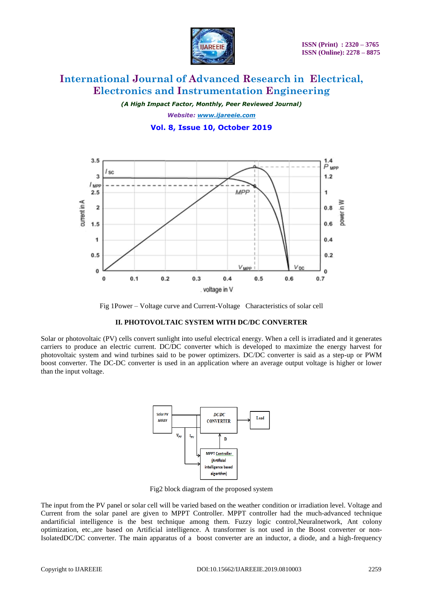

*(A High Impact Factor, Monthly, Peer Reviewed Journal) Website: [www.ijareeie.com](http://www.ijareeie.com/)* **Vol. 8, Issue 10, October 2019**



Fig 1Power – Voltage curve and Current-Voltage Characteristics of solar cell

### **II. PHOTOVOLTAIC SYSTEM WITH DC/DC CONVERTER**

Solar or photovoltaic (PV) cells convert sunlight into useful electrical energy. When a cell is irradiated and it generates carriers to produce an electric current. DC/DC converter which is developed to maximize the energy harvest for photovoltaic system and wind turbines said to be power optimizers. DC/DC converter is said as a step-up or PWM boost converter. The DC-DC converter is used in an application where an average output voltage is higher or lower than the input voltage.



Fig2 block diagram of the proposed system

The input from the PV panel or solar cell will be varied based on the weather condition or irradiation level. Voltage and Current from the solar panel are given to MPPT Controller. MPPT controller had the much-advanced technique andartificial intelligence is the best technique among them. Fuzzy logic control,Neuralnetwork, Ant colony optimization, etc.,are based on Artificial intelligence. A transformer is not used in the Boost converter or non-IsolatedDC/DC converter. The main apparatus of a boost converter are an inductor, a diode, and a high-frequency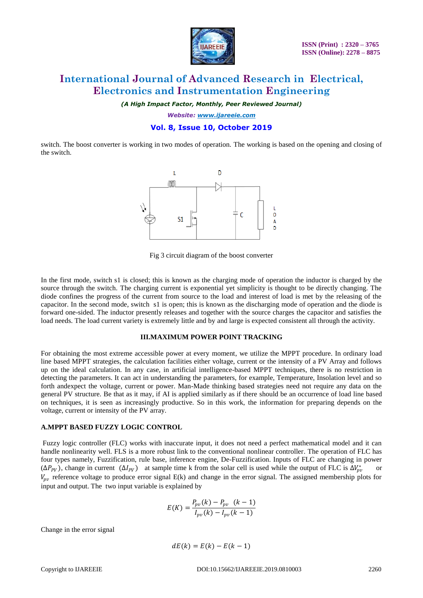

*(A High Impact Factor, Monthly, Peer Reviewed Journal)*

*Website: [www.ijareeie.com](http://www.ijareeie.com/)*

**Vol. 8, Issue 10, October 2019**

switch. The boost converter is working in two modes of operation. The working is based on the opening and closing of the switch.



Fig 3 circuit diagram of the boost converter

In the first mode, switch s1 is closed; this is known as the charging mode of operation the inductor is charged by the source through the switch. The charging current is exponential yet simplicity is thought to be directly changing. The diode confines the progress of the current from source to the load and interest of load is met by the releasing of the capacitor. In the second mode, switch s1 is open; this is known as the discharging mode of operation and the diode is forward one-sided. The inductor presently releases and together with the source charges the capacitor and satisfies the load needs. The load current variety is extremely little and by and large is expected consistent all through the activity.

#### **III.MAXIMUM POWER POINT TRACKING**

For obtaining the most extreme accessible power at every moment, we utilize the MPPT procedure. In ordinary load line based MPPT strategies, the calculation facilities either voltage, current or the intensity of a PV Array and follows up on the ideal calculation. In any case, in artificial intelligence-based MPPT techniques, there is no restriction in detecting the parameters. It can act in understanding the parameters, for example, Temperature, Insolation level and so forth andexpect the voltage, current or power. Man-Made thinking based strategies need not require any data on the general PV structure. Be that as it may, if AI is applied similarly as if there should be an occurrence of load line based on techniques, it is seen as increasingly productive. So in this work, the information for preparing depends on the voltage, current or intensity of the PV array.

#### **A.MPPT BASED FUZZY LOGIC CONTROL**

Fuzzy logic controller (FLC) works with inaccurate input, it does not need a perfect mathematical model and it can handle nonlinearity well. FLS is a more robust link to the conventional nonlinear controller. The operation of FLC has four types namely, Fuzzification, rule base, inference engine, De-Fuzzification. Inputs of FLC are changing in power  $(\Delta P_{PV})$ , change in current  $(\Delta I_{PV})$  at sample time k from the solar cell is used while the output of FLC is  $\Delta V_{pv}^*$  or  $V_{pv}$  reference voltage to produce error signal E(k) and change in the error signal. The assigned membership plots for input and output. The two input variable is explained by

$$
E(K) = \frac{P_{pv}(k) - P_{pv}(k-1)}{I_{pv}(k) - I_{pv}(k-1)}
$$

Change in the error signal

$$
dE(k) = E(k) - E(k-1)
$$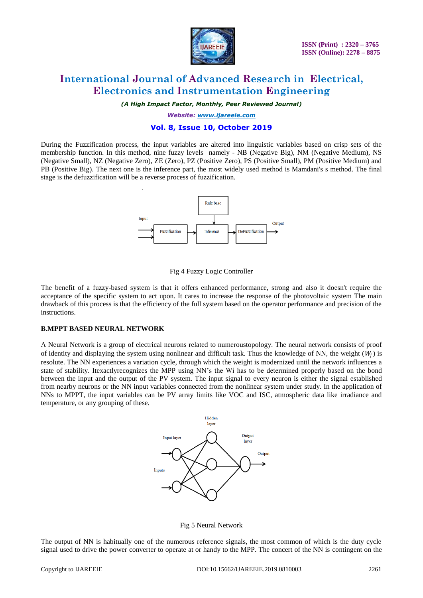

*(A High Impact Factor, Monthly, Peer Reviewed Journal)*

*Website: [www.ijareeie.com](http://www.ijareeie.com/)*

## **Vol. 8, Issue 10, October 2019**

During the Fuzzification process, the input variables are altered into linguistic variables based on crisp sets of the membership function. In this method, nine fuzzy levels namely - NB (Negative Big), NM (Negative Medium), NS (Negative Small), NZ (Negative Zero), ZE (Zero), PZ (Positive Zero), PS (Positive Small), PM (Positive Medium) and PB (Positive Big). The next one is the inference part, the most widely used method is Mamdani's s method. The final stage is the defuzzification will be a reverse process of fuzzification.





The benefit of a fuzzy-based system is that it offers enhanced performance, strong and also it doesn't require the acceptance of the specific system to act upon. It cares to increase the response of the photovoltaic system The main drawback of this process is that the efficiency of the full system based on the operator performance and precision of the instructions.

### **B.MPPT BASED NEURAL NETWORK**

A Neural Network is a group of electrical neurons related to numeroustopology. The neural network consists of proof of identity and displaying the system using nonlinear and difficult task. Thus the knowledge of NN, the weight  $(W_j)$  is resolute. The NN experiences a variation cycle, through which the weight is modernized until the network influences a state of stability. Itexactlyrecognizes the MPP using NN"s the Wi has to be determined properly based on the bond between the input and the output of the PV system. The input signal to every neuron is either the signal established from nearby neurons or the NN input variables connected from the nonlinear system under study. In the application of NNs to MPPT, the input variables can be PV array limits like VOC and ISC, atmospheric data like irradiance and temperature, or any grouping of these.



Fig 5 Neural Network

The output of NN is habitually one of the numerous reference signals, the most common of which is the duty cycle signal used to drive the power converter to operate at or handy to the MPP. The concert of the NN is contingent on the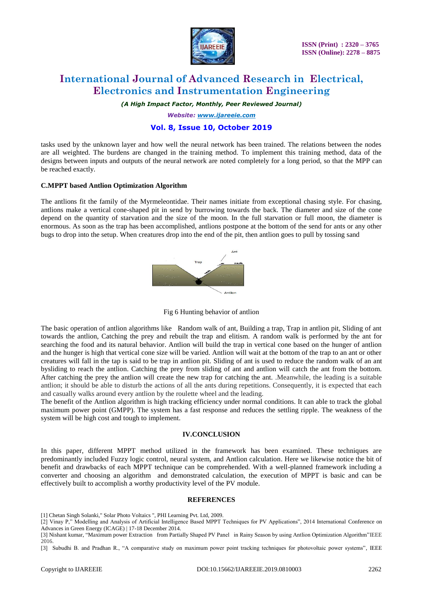

*(A High Impact Factor, Monthly, Peer Reviewed Journal)*

*Website: [www.ijareeie.com](http://www.ijareeie.com/)*

## **Vol. 8, Issue 10, October 2019**

tasks used by the unknown layer and how well the neural network has been trained. The relations between the nodes are all weighted. The burdens are changed in the training method. To implement this training method, data of the designs between inputs and outputs of the neural network are noted completely for a long period, so that the MPP can be reached exactly.

### **C.MPPT based Antlion Optimization Algorithm**

The antlions fit the family of the Myrmeleontidae. Their names initiate from exceptional chasing style. For chasing, antlions make a vertical cone-shaped pit in send by burrowing towards the back. The diameter and size of the cone depend on the quantity of starvation and the size of the moon. In the full starvation or full moon, the diameter is enormous. As soon as the trap has been accomplished, antlions postpone at the bottom of the send for ants or any other bugs to drop into the setup. When creatures drop into the end of the pit, then antlion goes to pull by tossing sand



Fig 6 Hunting behavior of antlion

The basic operation of antlion algorithms like Random walk of ant, Building a trap, Trap in antlion pit, Sliding of ant towards the antlion, Catching the prey and rebuilt the trap and elitism. A random walk is performed by the ant for searching the food and its natural behavior. Antlion will build the trap in vertical cone based on the hunger of antlion and the hunger is high that vertical cone size will be varied. Antlion will wait at the bottom of the trap to an ant or other creatures will fall in the tap is said to be trap in antlion pit. Sliding of ant is used to reduce the random walk of an ant bysliding to reach the antlion. Catching the prey from sliding of ant and antlion will catch the ant from the bottom. After catching the prey the antlion will create the new trap for catching the ant. .Meanwhile, the leading is a suitable antlion; it should be able to disturb the actions of all the ants during repetitions. Consequently, it is expected that each and casually walks around every antlion by the roulette wheel and the leading.

The benefit of the Antlion algorithm is high tracking efficiency under normal conditions. It can able to track the global maximum power point (GMPP). The system has a fast response and reduces the settling ripple. The weakness of the system will be high cost and tough to implement.

### **IV.CONCLUSION**

In this paper, different MPPT method utilized in the framework has been examined. These techniques are predominantly included Fuzzy logic control, neural system, and Antlion calculation. Here we likewise notice the bit of benefit and drawbacks of each MPPT technique can be comprehended. With a well-planned framework including a converter and choosing an algorithm and demonstrated calculation, the execution of MPPT is basic and can be effectively built to accomplish a worthy productivity level of the PV module.

#### **REFERENCES**

[1] Chetan Singh Solanki," Solar Photo Voltaics ", PHI Learning Pvt. Ltd, 2009.

[3] Subudhi B. and Pradhan R., "A comparative study on maximum power point tracking techniques for photovoltaic power systems", IEEE

<sup>[2]</sup> Vinay P," Modelling and Analysis of Artificial Intelligence Based MPPT Techniques for PV Applications", 2014 International Conference on Advances in Green Energy (ICAGE) | 17-18 December 2014.

<sup>[3]</sup> Nishant kumar, "Maximum power Extraction from Partially Shaped PV Panel in Rainy Season by using Antlion Optimization Algorithm"IEEE 2016.